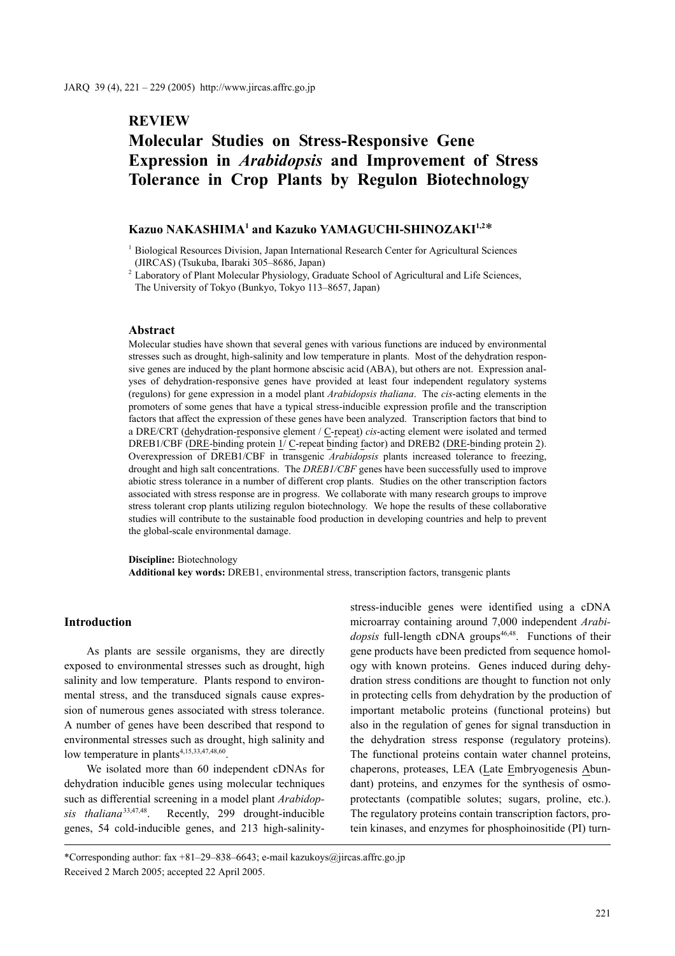# **REVIEW**

# **Molecular Studies on Stress-Responsive Gene Expression in** *Arabidopsis* **and Improvement of Stress Tolerance in Crop Plants by Regulon Biotechnology**

## **Kazuo NAKASHIMA1 and Kazuko YAMAGUCHI-SHINOZAKI1,2**\*

<sup>1</sup> Biological Resources Division, Japan International Research Center for Agricultural Sciences (JIRCAS) (Tsukuba, Ibaraki 305–8686, Japan)

<sup>2</sup> Laboratory of Plant Molecular Physiology, Graduate School of Agricultural and Life Sciences, The University of Tokyo (Bunkyo, Tokyo 113–8657, Japan)

#### **Abstract**

Molecular studies have shown that several genes with various functions are induced by environmental stresses such as drought, high-salinity and low temperature in plants. Most of the dehydration responsive genes are induced by the plant hormone abscisic acid (ABA), but others are not. Expression analyses of dehydration-responsive genes have provided at least four independent regulatory systems (regulons) for gene expression in a model plant *Arabidopsis thaliana*. The *cis*-acting elements in the promoters of some genes that have a typical stress-inducible expression profile and the transcription factors that affect the expression of these genes have been analyzed. Transcription factors that bind to a DRE/CRT (dehydration-responsive element / C-repeat) *cis*-acting element were isolated and termed DREB1/CBF (DRE-binding protein  $1/\text{C-repeat binding factor}$ ) and DREB2 (DRE-binding protein 2). Overexpression of DREB1/CBF in transgenic *Arabidopsis* plants increased tolerance to freezing, drought and high salt concentrations. The *DREB1/CBF* genes have been successfully used to improve abiotic stress tolerance in a number of different crop plants. Studies on the other transcription factors associated with stress response are in progress. We collaborate with many research groups to improve stress tolerant crop plants utilizing regulon biotechnology. We hope the results of these collaborative studies will contribute to the sustainable food production in developing countries and help to prevent the global-scale environmental damage.

**Discipline:** Biotechnology

**Additional key words:** DREB1, environmental stress, transcription factors, transgenic plants

#### **Introduction**

As plants are sessile organisms, they are directly exposed to environmental stresses such as drought, high salinity and low temperature. Plants respond to environmental stress, and the transduced signals cause expression of numerous genes associated with stress tolerance. A number of genes have been described that respond to environmental stresses such as drought, high salinity and low temperature in plants<sup>4,15,33,47,48,60</sup>.

We isolated more than 60 independent cDNAs for dehydration inducible genes using molecular techniques such as differential screening in a model plant *Arabidopsis thaliana*33,47,48. Recently, 299 drought-inducible genes, 54 cold-inducible genes, and 213 high-salinitystress-inducible genes were identified using a cDNA microarray containing around 7,000 independent *Arabidopsis* full-length cDNA groups<sup>46,48</sup>. Functions of their gene products have been predicted from sequence homology with known proteins. Genes induced during dehydration stress conditions are thought to function not only in protecting cells from dehydration by the production of important metabolic proteins (functional proteins) but also in the regulation of genes for signal transduction in the dehydration stress response (regulatory proteins). The functional proteins contain water channel proteins, chaperons, proteases, LEA (Late Embryogenesis Abundant) proteins, and enzymes for the synthesis of osmoprotectants (compatible solutes; sugars, proline, etc.). The regulatory proteins contain transcription factors, protein kinases, and enzymes for phosphoinositide (PI) turn-

<sup>\*</sup>Corresponding author: fax +81–29–838–6643; e-mail kazukoys@jircas.affrc.go.jp Received 2 March 2005; accepted 22 April 2005.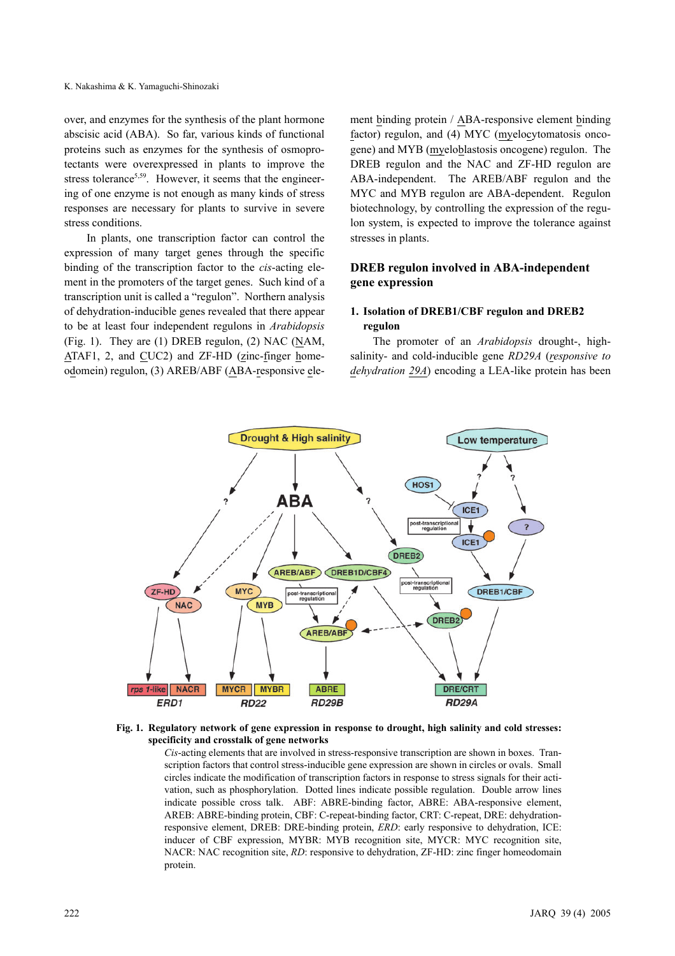over, and enzymes for the synthesis of the plant hormone abscisic acid (ABA). So far, various kinds of functional proteins such as enzymes for the synthesis of osmoprotectants were overexpressed in plants to improve the stress tolerance<sup>5,59</sup>. However, it seems that the engineering of one enzyme is not enough as many kinds of stress responses are necessary for plants to survive in severe stress conditions.

In plants, one transcription factor can control the expression of many target genes through the specific binding of the transcription factor to the *cis*-acting element in the promoters of the target genes. Such kind of a transcription unit is called a "regulon". Northern analysis of dehydration-inducible genes revealed that there appear to be at least four independent regulons in *Arabidopsis* (Fig. 1). They are (1) DREB regulon, (2) NAC (NAM, ATAF1, 2, and CUC2) and ZF-HD (zinc-finger homeodomein) regulon, (3) AREB/ABF (ABA-responsive element binding protein / ABA-responsive element binding factor) regulon, and (4) MYC (myelocytomatosis oncogene) and MYB (myeloblastosis oncogene) regulon. The DREB regulon and the NAC and ZF-HD regulon are ABA-independent. The AREB/ABF regulon and the MYC and MYB regulon are ABA-dependent. Regulon biotechnology, by controlling the expression of the regulon system, is expected to improve the tolerance against stresses in plants.

### **DREB regulon involved in ABA-independent gene expression**

#### **1. Isolation of DREB1/CBF regulon and DREB2 regulon**

The promoter of an *Arabidopsis* drought-, highsalinity- and cold-inducible gene *RD29A* (*responsive to dehydration 29A*) encoding a LEA-like protein has been



#### **Fig. 1. Regulatory network of gene expression in response to drought, high salinity and cold stresses: specificity and crosstalk of gene networks**

*Cis*-acting elements that are involved in stress-responsive transcription are shown in boxes. Transcription factors that control stress-inducible gene expression are shown in circles or ovals. Small circles indicate the modification of transcription factors in response to stress signals for their activation, such as phosphorylation. Dotted lines indicate possible regulation. Double arrow lines indicate possible cross talk. ABF: ABRE-binding factor, ABRE: ABA-responsive element, AREB: ABRE-binding protein, CBF: C-repeat-binding factor, CRT: C-repeat, DRE: dehydrationresponsive element, DREB: DRE-binding protein, *ERD*: early responsive to dehydration, ICE: inducer of CBF expression, MYBR: MYB recognition site, MYCR: MYC recognition site, NACR: NAC recognition site, *RD*: responsive to dehydration, ZF-HD: zinc finger homeodomain protein.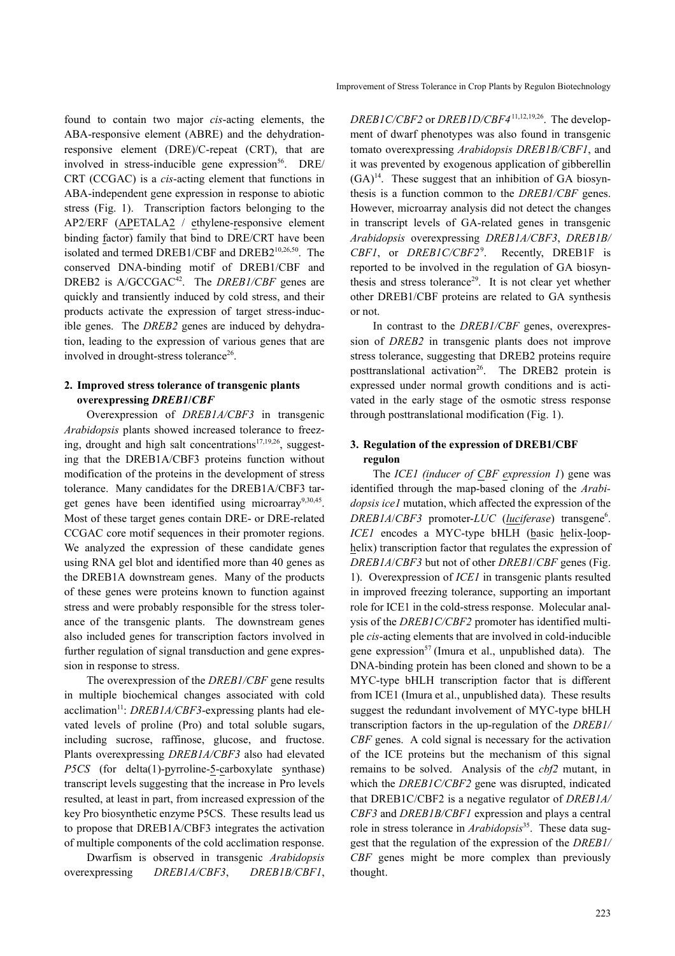found to contain two major *cis*-acting elements, the ABA-responsive element (ABRE) and the dehydrationresponsive element (DRE)/C-repeat (CRT), that are involved in stress-inducible gene expression $56$ . DRE/ CRT (CCGAC) is a *cis*-acting element that functions in ABA-independent gene expression in response to abiotic stress (Fig. 1). Transcription factors belonging to the AP2/ERF (APETALA2 / ethylene-responsive element binding factor) family that bind to DRE/CRT have been isolated and termed DREB1/CBF and DREB210,26,50. The conserved DNA-binding motif of DREB1/CBF and DREB2 is A/GCCGAC<sup>42</sup>. The *DREB1/CBF* genes are quickly and transiently induced by cold stress, and their products activate the expression of target stress-inducible genes. The *DREB2* genes are induced by dehydration, leading to the expression of various genes that are involved in drought-stress tolerance<sup>26</sup>.

#### **2. Improved stress tolerance of transgenic plants overexpressing** *DREB1***/***CBF*

Overexpression of *DREB1A/CBF3* in transgenic *Arabidopsis* plants showed increased tolerance to freezing, drought and high salt concentrations<sup>17,19,26</sup>, suggesting that the DREB1A/CBF3 proteins function without modification of the proteins in the development of stress tolerance. Many candidates for the DREB1A/CBF3 target genes have been identified using microarray<sup>9,30,45</sup>. Most of these target genes contain DRE- or DRE-related CCGAC core motif sequences in their promoter regions. We analyzed the expression of these candidate genes using RNA gel blot and identified more than 40 genes as the DREB1A downstream genes. Many of the products of these genes were proteins known to function against stress and were probably responsible for the stress tolerance of the transgenic plants. The downstream genes also included genes for transcription factors involved in further regulation of signal transduction and gene expression in response to stress.

The overexpression of the *DREB1/CBF* gene results in multiple biochemical changes associated with cold acclimation<sup>11</sup>: *DREB1A/CBF3*-expressing plants had elevated levels of proline (Pro) and total soluble sugars, including sucrose, raffinose, glucose, and fructose. Plants overexpressing *DREB1A/CBF3* also had elevated *P5CS* (for delta(1)-pyrroline-5-carboxylate synthase) transcript levels suggesting that the increase in Pro levels resulted, at least in part, from increased expression of the key Pro biosynthetic enzyme P5CS. These results lead us to propose that DREB1A/CBF3 integrates the activation of multiple components of the cold acclimation response.

Dwarfism is observed in transgenic *Arabidopsis* overexpressing *DREB1A/CBF3*, *DREB1B/CBF1*, *DREB1C/CBF2* or *DREB1D/CBF4*11,12,19,26. The development of dwarf phenotypes was also found in transgenic tomato overexpressing *Arabidopsis DREB1B/CBF1*, and it was prevented by exogenous application of gibberellin  $(GA)^{14}$ . These suggest that an inhibition of GA biosynthesis is a function common to the *DREB1/CBF* genes. However, microarray analysis did not detect the changes in transcript levels of GA-related genes in transgenic *Arabidopsis* overexpressing *DREB1A/CBF3*, *DREB1B/ CBF1*, or *DREB1C/CBF2*<sup>9</sup> . Recently, DREB1F is reported to be involved in the regulation of GA biosynthesis and stress tolerance<sup>29</sup>. It is not clear yet whether other DREB1/CBF proteins are related to GA synthesis or not.

In contrast to the *DREB1/CBF* genes, overexpression of *DREB2* in transgenic plants does not improve stress tolerance, suggesting that DREB2 proteins require posttranslational activation<sup>26</sup>. The DREB2 protein is expressed under normal growth conditions and is activated in the early stage of the osmotic stress response through posttranslational modification (Fig. 1).

#### **3. Regulation of the expression of DREB1/CBF regulon**

The *ICE1 (inducer of CBF expression 1*) gene was identified through the map-based cloning of the *Arabidopsis ice1* mutation, which affected the expression of the *DREB1A*/*CBF3* promoter-*LUC* (*luciferase*) transgene6 . *ICE1* encodes a MYC-type bHLH (basic helix-loophelix) transcription factor that regulates the expression of *DREB1A*/*CBF3* but not of other *DREB1*/*CBF* genes (Fig. 1). Overexpression of *ICE1* in transgenic plants resulted in improved freezing tolerance, supporting an important role for ICE1 in the cold-stress response. Molecular analysis of the *DREB1C/CBF2* promoter has identified multiple *cis*-acting elements that are involved in cold-inducible gene expression<sup>57</sup> (Imura et al., unpublished data). The DNA-binding protein has been cloned and shown to be a MYC-type bHLH transcription factor that is different from ICE1 (Imura et al., unpublished data). These results suggest the redundant involvement of MYC-type bHLH transcription factors in the up-regulation of the *DREB1/ CBF* genes. A cold signal is necessary for the activation of the ICE proteins but the mechanism of this signal remains to be solved. Analysis of the *cbf2* mutant, in which the *DREB1C/CBF2* gene was disrupted, indicated that DREB1C/CBF2 is a negative regulator of *DREB1A/ CBF3* and *DREB1B/CBF1* expression and plays a central role in stress tolerance in *Arabidopsis*<sup>35</sup>. These data suggest that the regulation of the expression of the *DREB1/ CBF* genes might be more complex than previously thought.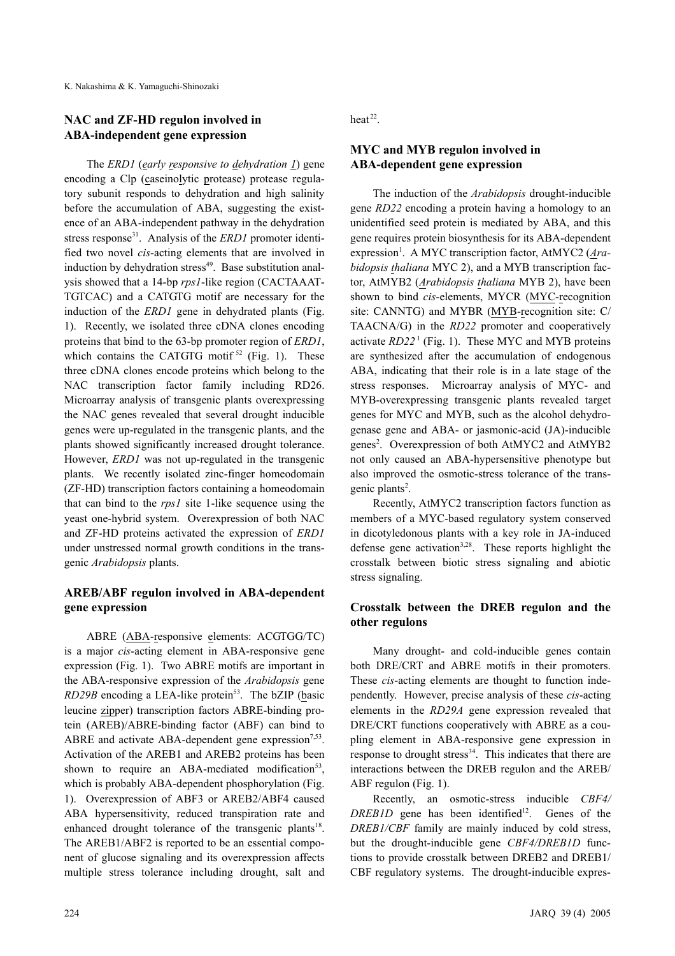#### **NAC and ZF-HD regulon involved in ABA-independent gene expression**

The *ERD1* (*early responsive to dehydration 1*) gene encoding a Clp (caseinolytic protease) protease regulatory subunit responds to dehydration and high salinity before the accumulation of ABA, suggesting the existence of an ABA-independent pathway in the dehydration stress response<sup>31</sup>. Analysis of the *ERD1* promoter identified two novel *cis*-acting elements that are involved in induction by dehydration stress<sup>49</sup>. Base substitution analysis showed that a 14-bp *rps1*-like region (CACTAAAT-TGTCAC) and a CATGTG motif are necessary for the induction of the *ERD1* gene in dehydrated plants (Fig. 1). Recently, we isolated three cDNA clones encoding proteins that bind to the 63-bp promoter region of *ERD1*, which contains the CATGTG motif  $52$  (Fig. 1). These three cDNA clones encode proteins which belong to the NAC transcription factor family including RD26. Microarray analysis of transgenic plants overexpressing the NAC genes revealed that several drought inducible genes were up-regulated in the transgenic plants, and the plants showed significantly increased drought tolerance. However, *ERD1* was not up-regulated in the transgenic plants. We recently isolated zinc-finger homeodomain (ZF-HD) transcription factors containing a homeodomain that can bind to the *rps1* site 1-like sequence using the yeast one-hybrid system. Overexpression of both NAC and ZF-HD proteins activated the expression of *ERD1* under unstressed normal growth conditions in the transgenic *Arabidopsis* plants.

### **AREB/ABF regulon involved in ABA-dependent gene expression**

ABRE (ABA-responsive elements: ACGTGG/TC) is a major *cis*-acting element in ABA-responsive gene expression (Fig. 1). Two ABRE motifs are important in the ABA-responsive expression of the *Arabidopsis* gene *RD29B* encoding a LEA-like protein<sup>53</sup>. The bZIP (basic leucine zipper) transcription factors ABRE-binding protein (AREB)/ABRE-binding factor (ABF) can bind to ABRE and activate ABA-dependent gene expression<sup>7,53</sup>. Activation of the AREB1 and AREB2 proteins has been shown to require an ABA-mediated modification<sup>53</sup>, which is probably ABA-dependent phosphorylation (Fig. 1). Overexpression of ABF3 or AREB2/ABF4 caused ABA hypersensitivity, reduced transpiration rate and enhanced drought tolerance of the transgenic plants<sup>18</sup>. The AREB1/ABF2 is reported to be an essential component of glucose signaling and its overexpression affects multiple stress tolerance including drought, salt and heat $^{22}$ .

### **MYC and MYB regulon involved in ABA-dependent gene expression**

The induction of the *Arabidopsis* drought-inducible gene *RD22* encoding a protein having a homology to an unidentified seed protein is mediated by ABA, and this gene requires protein biosynthesis for its ABA-dependent expression<sup>1</sup>. A MYC transcription factor, AtMYC2 (Ara*bidopsis thaliana* MYC 2), and a MYB transcription factor, AtMYB2 (*Arabidopsis thaliana* MYB 2), have been shown to bind *cis*-elements, MYCR (MYC-recognition site: CANNTG) and MYBR (MYB-recognition site: C/ TAACNA/G) in the *RD22* promoter and cooperatively activate *RD22*<sup>1</sup> (Fig. 1). These MYC and MYB proteins are synthesized after the accumulation of endogenous ABA, indicating that their role is in a late stage of the stress responses. Microarray analysis of MYC- and MYB-overexpressing transgenic plants revealed target genes for MYC and MYB, such as the alcohol dehydrogenase gene and ABA- or jasmonic-acid (JA)-inducible genes<sup>2</sup>. Overexpression of both AtMYC2 and AtMYB2 not only caused an ABA-hypersensitive phenotype but also improved the osmotic-stress tolerance of the transgenic plants<sup>2</sup>.

Recently, AtMYC2 transcription factors function as members of a MYC-based regulatory system conserved in dicotyledonous plants with a key role in JA-induced defense gene activation<sup>3,28</sup>. These reports highlight the crosstalk between biotic stress signaling and abiotic stress signaling.

#### **Crosstalk between the DREB regulon and the other regulons**

Many drought- and cold-inducible genes contain both DRE/CRT and ABRE motifs in their promoters. These *cis*-acting elements are thought to function independently. However, precise analysis of these *cis*-acting elements in the *RD29A* gene expression revealed that DRE/CRT functions cooperatively with ABRE as a coupling element in ABA-responsive gene expression in response to drought stress<sup>34</sup>. This indicates that there are interactions between the DREB regulon and the AREB/ ABF regulon (Fig. 1).

Recently, an osmotic-stress inducible *CBF4/*  $DREBID$  gene has been identified<sup>12</sup>. Genes of the *DREB1/CBF* family are mainly induced by cold stress, but the drought-inducible gene *CBF4/DREB1D* functions to provide crosstalk between DREB2 and DREB1/ CBF regulatory systems. The drought-inducible expres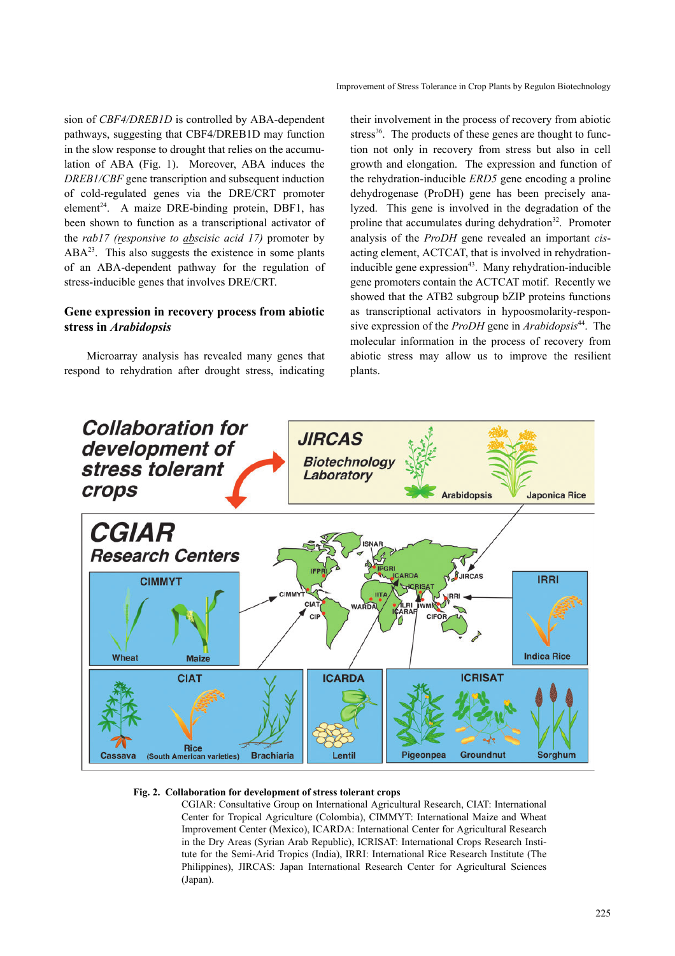sion of *CBF4/DREB1D* is controlled by ABA-dependent pathways, suggesting that CBF4/DREB1D may function in the slow response to drought that relies on the accumulation of ABA (Fig. 1). Moreover, ABA induces the *DREB1/CBF* gene transcription and subsequent induction of cold-regulated genes via the DRE/CRT promoter element<sup>24</sup>. A maize DRE-binding protein, DBF1, has been shown to function as a transcriptional activator of the *rab17 (responsive to abscisic acid 17)* promoter by  $ABA<sup>23</sup>$ . This also suggests the existence in some plants of an ABA-dependent pathway for the regulation of stress-inducible genes that involves DRE/CRT.

### **Gene expression in recovery process from abiotic stress in** *Arabidopsis*

Microarray analysis has revealed many genes that respond to rehydration after drought stress, indicating their involvement in the process of recovery from abiotic stress<sup>36</sup>. The products of these genes are thought to function not only in recovery from stress but also in cell growth and elongation. The expression and function of the rehydration-inducible *ERD5* gene encoding a proline dehydrogenase (ProDH) gene has been precisely analyzed. This gene is involved in the degradation of the proline that accumulates during dehydration<sup>32</sup>. Promoter analysis of the *ProDH* gene revealed an important *cis*acting element, ACTCAT, that is involved in rehydrationinducible gene expression $43$ . Many rehydration-inducible gene promoters contain the ACTCAT motif. Recently we showed that the ATB2 subgroup bZIP proteins functions as transcriptional activators in hypoosmolarity-responsive expression of the *ProDH* gene in *Arabidopsis*44. The molecular information in the process of recovery from abiotic stress may allow us to improve the resilient plants.



#### **Fig. 2. Collaboration for development of stress tolerant crops**

CGIAR: Consultative Group on International Agricultural Research, CIAT: International Center for Tropical Agriculture (Colombia), CIMMYT: International Maize and Wheat Improvement Center (Mexico), ICARDA: International Center for Agricultural Research in the Dry Areas (Syrian Arab Republic), ICRISAT: International Crops Research Institute for the Semi-Arid Tropics (India), IRRI: International Rice Research Institute (The Philippines), JIRCAS: Japan International Research Center for Agricultural Sciences (Japan).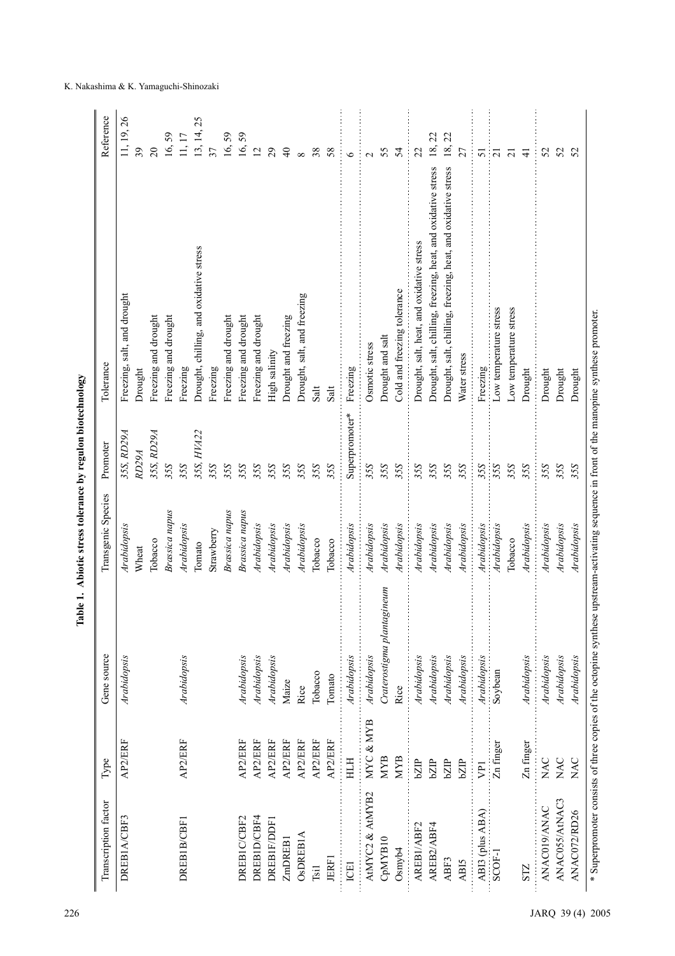| Transcription factor | Type           | Gene source                | Transgenic Species    | Promoter          | Tolerance                                                     | Reference      |
|----------------------|----------------|----------------------------|-----------------------|-------------------|---------------------------------------------------------------|----------------|
| DREB1A/CBF3          | AP2/ERF        | Arabidopsis                | Arabidopsis           | 35S, RD29A        | Freezing, salt, and drought                                   | 11, 19, 26     |
|                      |                |                            | Wheat                 | RD <sub>29A</sub> | Drought                                                       | 39             |
|                      |                |                            | Tobacco               | 35S, RD29A        | Freezing and drought                                          | $\overline{c}$ |
|                      |                |                            | <b>Brassica</b> napus | 35S               | Freezing and drought                                          | 59<br>16,      |
| DREB1B/CBF1          | AP2/ERF        | Arabidopsis                | Arabidopsis           | 35S               | Freezing                                                      | 11, 17         |
|                      |                |                            | Tomato                | 35S, HVA22        | Drought, chilling, and oxidative stress                       | 13, 14, 25     |
|                      |                |                            | Strawberry            | 35S               | Freezing                                                      | 37             |
|                      |                |                            | Brassica napus        | 35S               | Freezing and drought                                          | 16,59          |
| DREBIC/CBF2          | AP2/ERF        | Arabidopsis                | Brassica napus        | 35S               | Freezing and drought                                          | 16,59          |
| DREBID/CBF4          | AP2/ERF        | Arabidopsis                | Arabidopsis           | 35S               | Freezing and drought                                          | $\overline{2}$ |
| <b>DREBIF/DDF</b>    | AP2/ERF        | Arabidopsis                | Arabidopsis           | 35S               | High salinity                                                 | 29             |
| ZmDREB1              | AP2/ERF        | Maize                      | Arabidopsis           | 35S               | Drought and freezing                                          | $\Theta$       |
| <b>OSDREBIA</b>      | AP2/ERF        | Rice                       | Arabidopsis           | 35S               | Drought, salt, and freezing                                   | $\infty$       |
| <b>Tsil</b>          | AP2/ERF        | Tobacco                    | Tobacco               | 35S               | Salt                                                          | 38             |
| <b>JERF1</b>         | AP2/ERF        | Tomato                     | Tobacco               | 35S               | Salt                                                          | 58             |
| ICE1                 | HTH            | Arabidopsis                | Arabidopsis           | Superpromoter*    | Freezing                                                      | $\circ$        |
| AtMYC2 & AtMYB2      | MYC & MYB      | Arabidopsis                | Arabidopsis           | 35S               | Osmotic stress                                                | $\sim$         |
| CpMYB10              | <b>MYB</b>     | Craterostigma plantagineum | Arabidopsis           | 35S               | Drought and salt                                              | 55             |
| Osmyb4               | <b>MYB</b>     | Rice                       | Arabidopsis           | 35S               | Cold and freezing tolerance                                   | 54             |
| AREB1/ABF2           | bZIP           | Arabidopsis                | Arabidopsis           | 35S               | Drought, salt, heat, and oxidative stress                     | 22             |
| AREB2/ABF4           | bZP            | Arabidopsis                | Arabidopsis           | 35S               | Drought, salt, chilling, freezing, heat, and oxidative stress | 18,22          |
| ABF3                 | bZIP           | Arabidopsis                | Arabidopsis           | 35S               | Drought, salt, chilling, freezing, heat, and oxidative stress | 18, 22         |
| ABI5                 | bZIP           | Arabidopsis                | Arabidopsis           | 35S               | Water stress                                                  | 27             |
| ABI3 (plus ABA)      | $\overline{P}$ | Arabidopsis                | Arabidopsis           | 35S               | Freezing                                                      | 51             |
| SCOF-1               | Zn finger      | Soybean                    | Arabidopsis           | 35S               | Low temperature stress                                        | $\overline{z}$ |
|                      |                |                            | Tobacco               | 35S               | Low temperature stress                                        | $\overline{c}$ |
| STZ                  | Zn finger      | Arabidopsis                | Arabidopsis           | 35S               | Drought                                                       | $\frac{4}{5}$  |
| ANAC019/ANAC         | NAC            | Arabidopsis                | Arabidopsis           | 35S               | Drought                                                       | 52             |
| ANAC055/AtNAC3       | <b>NAC</b>     | Arabidopsis                | Arabidopsis           | 35S               | Drought                                                       | 52             |
| ANAC072/RD26         | <b>NAC</b>     | Arabidopsis                | Arabidopsis           | 35S               | Drought                                                       | 52             |

#### K. Nakashima & K. Yamaguchi-Shinozaki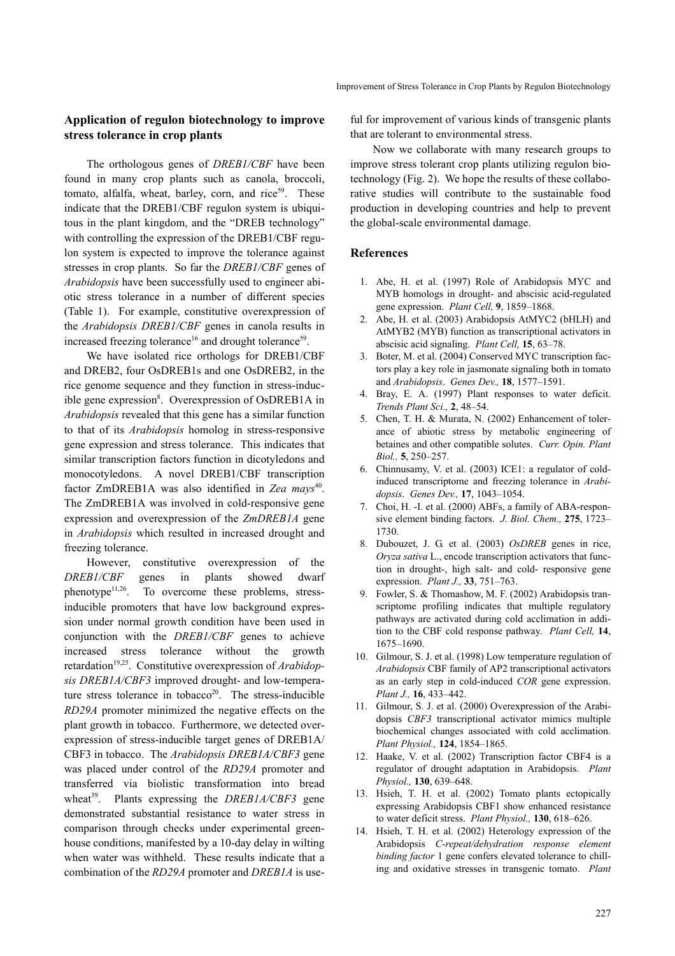#### **Application of regulon biotechnology to improve stress tolerance in crop plants**

The orthologous genes of *DREB1/CBF* have been found in many crop plants such as canola, broccoli, tomato, alfalfa, wheat, barley, corn, and rice $59$ . These indicate that the DREB1/CBF regulon system is ubiquitous in the plant kingdom, and the "DREB technology" with controlling the expression of the DREB1/CBF regulon system is expected to improve the tolerance against stresses in crop plants. So far the *DREB1/CBF* genes of *Arabidopsis* have been successfully used to engineer abiotic stress tolerance in a number of different species (Table 1). For example, constitutive overexpression of the *Arabidopsis DREB1/CBF* genes in canola results in increased freezing tolerance<sup>16</sup> and drought tolerance<sup>59</sup>.

We have isolated rice orthologs for DREB1/CBF and DREB2, four OsDREB1s and one OsDREB2, in the rice genome sequence and they function in stress-inducible gene expression<sup>8</sup>. Overexpression of OsDREB1A in *Arabidopsis* revealed that this gene has a similar function to that of its *Arabidopsis* homolog in stress-responsive gene expression and stress tolerance. This indicates that similar transcription factors function in dicotyledons and monocotyledons. A novel DREB1/CBF transcription factor ZmDREB1A was also identified in Zea mays<sup>40</sup>. The ZmDREB1A was involved in cold-responsive gene expression and overexpression of the *ZmDREB1A* gene in *Arabidopsis* which resulted in increased drought and freezing tolerance.

However, constitutive overexpression of the *DREB1/CBF* genes in plants showed dwarf phenotype $11,26$ . To overcome these problems, stressinducible promoters that have low background expression under normal growth condition have been used in conjunction with the *DREB1/CBF* genes to achieve increased stress tolerance without the growth retardation<sup>19,25</sup>. Constitutive overexpression of *Arabidopsis DREB1A/CBF3* improved drought- and low-temperature stress tolerance in tobacco<sup>20</sup>. The stress-inducible *RD29A* promoter minimized the negative effects on the plant growth in tobacco. Furthermore, we detected overexpression of stress-inducible target genes of DREB1A/ CBF3 in tobacco. The *Arabidopsis DREB1A/CBF3* gene was placed under control of the *RD29A* promoter and transferred via biolistic transformation into bread wheat<sup>39</sup>. Plants expressing the *DREB1A/CBF3* gene demonstrated substantial resistance to water stress in comparison through checks under experimental greenhouse conditions, manifested by a 10-day delay in wilting when water was withheld. These results indicate that a combination of the *RD29A* promoter and *DREB1A* is useful for improvement of various kinds of transgenic plants that are tolerant to environmental stress.

Now we collaborate with many research groups to improve stress tolerant crop plants utilizing regulon biotechnology (Fig. 2). We hope the results of these collaborative studies will contribute to the sustainable food production in developing countries and help to prevent the global-scale environmental damage.

#### **References**

- 1. Abe, H. et al. (1997) Role of Arabidopsis MYC and MYB homologs in drought- and abscisic acid-regulated gene expression. *Plant Cell,* **9**, 1859–1868.
- 2. Abe, H. et al. (2003) Arabidopsis AtMYC2 (bHLH) and AtMYB2 (MYB) function as transcriptional activators in abscisic acid signaling. *Plant Cell,* **15**, 63–78.
- 3. Boter, M. et al. (2004) Conserved MYC transcription factors play a key role in jasmonate signaling both in tomato and *Arabidopsis*. *Genes Dev.,* **18**, 1577–1591.
- Bray, E. A. (1997) Plant responses to water deficit. *Trends Plant Sci.,* **2**, 48–54.
- 5. Chen, T. H. & Murata, N. (2002) Enhancement of tolerance of abiotic stress by metabolic engineering of betaines and other compatible solutes. *Curr. Opin. Plant Biol.,* **5**, 250–257.
- 6. Chinnusamy, V. et al. (2003) ICE1: a regulator of coldinduced transcriptome and freezing tolerance in *Arabidopsis*. *Genes Dev.,* **17**, 1043–1054.
- 7. Choi, H. -I. et al. (2000) ABFs, a family of ABA-responsive element binding factors. *J. Biol. Chem.,* **275**, 1723– 1730.
- 8. Dubouzet, J. G. et al. (2003) *OsDREB* genes in rice, *Oryza sativa* L., encode transcription activators that function in drought-, high salt- and cold- responsive gene expression. *Plant J.,* **33**, 751–763.
- 9. Fowler, S. & Thomashow, M. F. (2002) Arabidopsis transcriptome profiling indicates that multiple regulatory pathways are activated during cold acclimation in addition to the CBF cold response pathway. *Plant Cell,* **14**, 1675–1690.
- 10. Gilmour, S. J. et al. (1998) Low temperature regulation of *Arabidopsis* CBF family of AP2 transcriptional activators as an early step in cold-induced *COR* gene expression. *Plant J.,* **16**, 433–442.
- 11. Gilmour, S. J. et al. (2000) Overexpression of the Arabidopsis *CBF3* transcriptional activator mimics multiple biochemical changes associated with cold acclimation. *Plant Physiol.,* **124**, 1854–1865.
- 12. Haake, V. et al. (2002) Transcription factor CBF4 is a regulator of drought adaptation in Arabidopsis. *Plant Physiol.,* **130**, 639–648.
- 13. Hsieh, T. H. et al. (2002) Tomato plants ectopically expressing Arabidopsis CBF1 show enhanced resistance to water deficit stress. *Plant Physiol.,* **130**, 618–626.
- 14. Hsieh, T. H. et al. (2002) Heterology expression of the Arabidopsis *C-repeat/dehydration response element binding factor* 1 gene confers elevated tolerance to chilling and oxidative stresses in transgenic tomato. *Plant*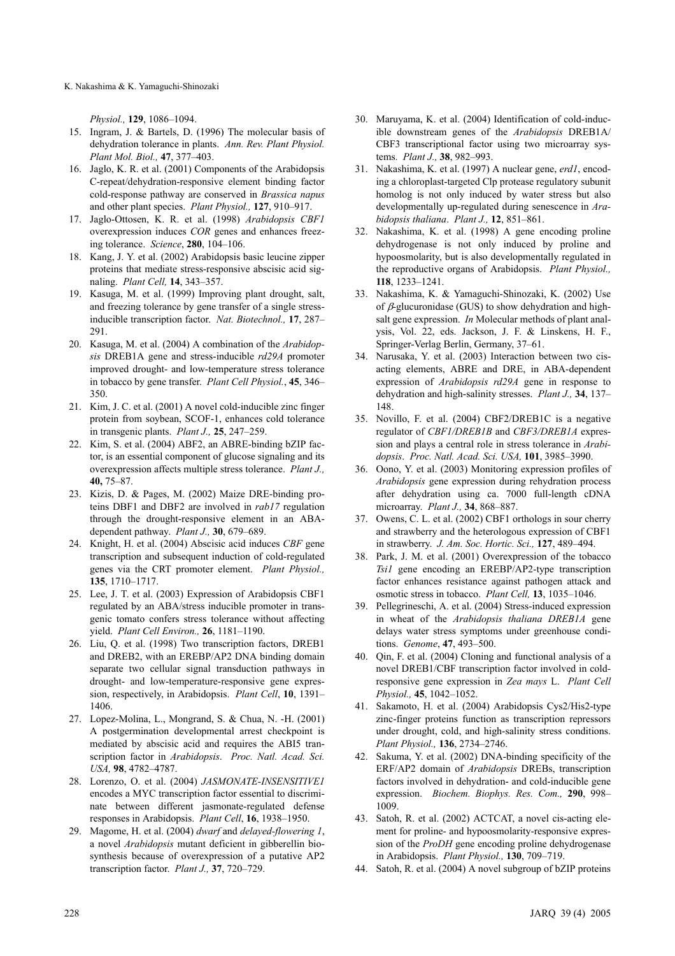K. Nakashima & K. Yamaguchi-Shinozaki

*Physiol.,* **129**, 1086–1094.

- 15. Ingram, J. & Bartels, D. (1996) The molecular basis of dehydration tolerance in plants. *Ann. Rev. Plant Physiol. Plant Mol. Biol.,* **47**, 377–403.
- 16. Jaglo, K. R. et al. (2001) Components of the Arabidopsis C-repeat/dehydration-responsive element binding factor cold-response pathway are conserved in *Brassica napus* and other plant species. *Plant Physiol.,* **127**, 910–917.
- 17. Jaglo-Ottosen, K. R. et al. (1998) *Arabidopsis CBF1* overexpression induces *COR* genes and enhances freezing tolerance. *Science*, **280**, 104–106.
- 18. Kang, J. Y. et al. (2002) Arabidopsis basic leucine zipper proteins that mediate stress-responsive abscisic acid signaling. *Plant Cell,* **14**, 343–357.
- 19. Kasuga, M. et al. (1999) Improving plant drought, salt, and freezing tolerance by gene transfer of a single stressinducible transcription factor. *Nat. Biotechnol.,* **17**, 287– 291.
- 20. Kasuga, M. et al. (2004) A combination of the *Arabidopsis* DREB1A gene and stress-inducible *rd29A* promoter improved drought- and low-temperature stress tolerance in tobacco by gene transfer. *Plant Cell Physiol.*, **45**, 346– 350.
- 21. Kim, J. C. et al. (2001) A novel cold-inducible zinc finger protein from soybean, SCOF-1, enhances cold tolerance in transgenic plants. *Plant J.,* **25**, 247–259.
- 22. Kim, S. et al. (2004) ABF2, an ABRE-binding bZIP factor, is an essential component of glucose signaling and its overexpression affects multiple stress tolerance. *Plant J.,* **40,** 75–87.
- 23. Kizis, D. & Pages, M. (2002) Maize DRE-binding proteins DBF1 and DBF2 are involved in *rab17* regulation through the drought-responsive element in an ABAdependent pathway. *Plant J.,* **30**, 679–689.
- 24. Knight, H. et al. (2004) Abscisic acid induces *CBF* gene transcription and subsequent induction of cold-regulated genes via the CRT promoter element. *Plant Physiol.,* **135**, 1710–1717.
- 25. Lee, J. T. et al. (2003) Expression of Arabidopsis CBF1 regulated by an ABA/stress inducible promoter in transgenic tomato confers stress tolerance without affecting yield. *Plant Cell Environ.,* **26**, 1181–1190.
- 26. Liu, Q. et al. (1998) Two transcription factors, DREB1 and DREB2, with an EREBP/AP2 DNA binding domain separate two cellular signal transduction pathways in drought- and low-temperature-responsive gene expression, respectively, in Arabidopsis. *Plant Cell*, **10**, 1391– 1406.
- 27. Lopez-Molina, L., Mongrand, S. & Chua, N. -H. (2001) A postgermination developmental arrest checkpoint is mediated by abscisic acid and requires the ABI5 transcription factor in *Arabidopsis*. *Proc. Natl. Acad. Sci. USA,* **98**, 4782–4787.
- 28. Lorenzo, O. et al. (2004) *JASMONATE-INSENSITIVE1* encodes a MYC transcription factor essential to discriminate between different jasmonate-regulated defense responses in Arabidopsis. *Plant Cell*, **16**, 1938–1950.
- 29. Magome, H. et al. (2004) *dwarf* and *delayed-flowering 1*, a novel *Arabidopsis* mutant deficient in gibberellin biosynthesis because of overexpression of a putative AP2 transcription factor. *Plant J.,* **37**, 720–729.
- 30. Maruyama, K. et al. (2004) Identification of cold-inducible downstream genes of the *Arabidopsis* DREB1A/ CBF3 transcriptional factor using two microarray systems. *Plant J.,* **38**, 982–993.
- 31. Nakashima, K. et al. (1997) A nuclear gene, *erd1*, encoding a chloroplast-targeted Clp protease regulatory subunit homolog is not only induced by water stress but also developmentally up-regulated during senescence in *Arabidopsis thaliana*. *Plant J.,* **12**, 851–861.
- 32. Nakashima, K. et al. (1998) A gene encoding proline dehydrogenase is not only induced by proline and hypoosmolarity, but is also developmentally regulated in the reproductive organs of Arabidopsis. *Plant Physiol.,* **118**, 1233–1241.
- 33. Nakashima, K. & Yamaguchi-Shinozaki, K. (2002) Use of β-glucuronidase (GUS) to show dehydration and highsalt gene expression. *In* Molecular methods of plant analysis, Vol. 22, eds. Jackson, J. F. & Linskens, H. F., Springer-Verlag Berlin, Germany, 37–61.
- 34. Narusaka, Y. et al. (2003) Interaction between two cisacting elements, ABRE and DRE, in ABA-dependent expression of *Arabidopsis rd29A* gene in response to dehydration and high-salinity stresses. *Plant J.,* **34**, 137– 148.
- 35. Novillo, F. et al. (2004) CBF2/DREB1C is a negative regulator of *CBF1/DREB1B* and *CBF3/DREB1A* expression and plays a central role in stress tolerance in *Arabidopsis*. *Proc. Natl. Acad. Sci. USA,* **101**, 3985–3990.
- 36. Oono, Y. et al. (2003) Monitoring expression profiles of *Arabidopsis* gene expression during rehydration process after dehydration using ca. 7000 full-length cDNA microarray. *Plant J.,* **34**, 868–887.
- 37. Owens, C. L. et al. (2002) CBF1 orthologs in sour cherry and strawberry and the heterologous expression of CBF1 in strawberry. *J. Am. Soc. Hortic. Sci.,* **127**, 489–494.
- 38. Park, J. M. et al. (2001) Overexpression of the tobacco *Tsi1* gene encoding an EREBP/AP2-type transcription factor enhances resistance against pathogen attack and osmotic stress in tobacco. *Plant Cell,* **13**, 1035–1046.
- 39. Pellegrineschi, A. et al. (2004) Stress-induced expression in wheat of the *Arabidopsis thaliana DREB1A* gene delays water stress symptoms under greenhouse conditions. *Genome*, **47**, 493–500.
- 40. Qin, F. et al. (2004) Cloning and functional analysis of a novel DREB1/CBF transcription factor involved in coldresponsive gene expression in *Zea mays* L. *Plant Cell Physiol.,* **45**, 1042–1052.
- 41. Sakamoto, H. et al. (2004) Arabidopsis Cys2/His2-type zinc-finger proteins function as transcription repressors under drought, cold, and high-salinity stress conditions. *Plant Physiol.,* **136**, 2734–2746.
- 42. Sakuma, Y. et al. (2002) DNA-binding specificity of the ERF/AP2 domain of *Arabidopsis* DREBs, transcription factors involved in dehydration- and cold-inducible gene expression. *Biochem. Biophys. Res. Com.,* **290**, 998– 1009.
- 43. Satoh, R. et al. (2002) ACTCAT, a novel cis-acting element for proline- and hypoosmolarity-responsive expression of the *ProDH* gene encoding proline dehydrogenase in Arabidopsis. *Plant Physiol.,* **130**, 709–719.
- 44. Satoh, R. et al. (2004) A novel subgroup of bZIP proteins